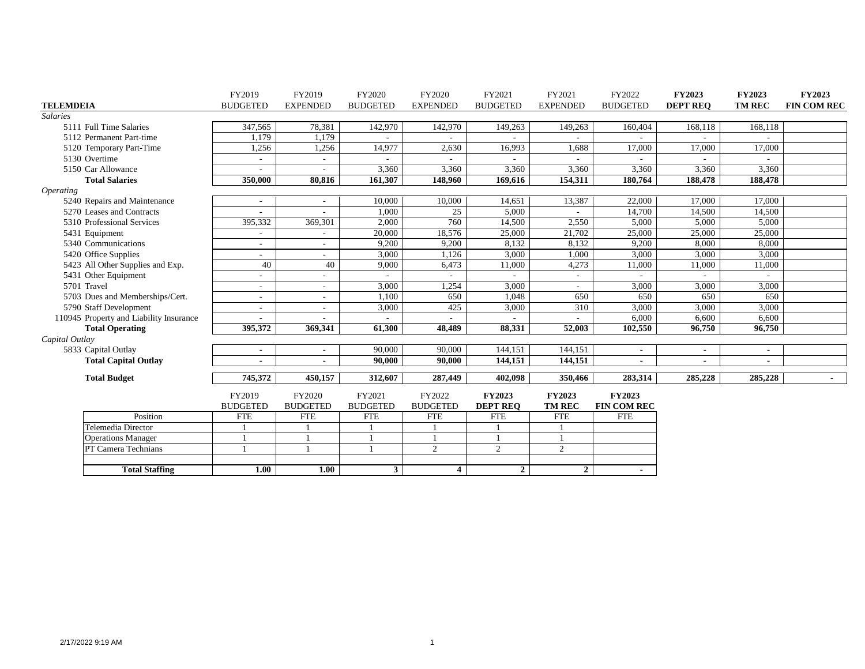|                         |                                         | FY2019                   | FY2019                   | FY2020          | FY2020                   | FY2021          | FY2021          | FY2022                   | <b>FY2023</b>            | <b>FY2023</b>            | <b>FY2023</b>      |
|-------------------------|-----------------------------------------|--------------------------|--------------------------|-----------------|--------------------------|-----------------|-----------------|--------------------------|--------------------------|--------------------------|--------------------|
| <b>TELEMDEIA</b>        |                                         | <b>BUDGETED</b>          | <b>EXPENDED</b>          | <b>BUDGETED</b> | <b>EXPENDED</b>          | <b>BUDGETED</b> | <b>EXPENDED</b> | <b>BUDGETED</b>          | <b>DEPT REO</b>          | <b>TM REC</b>            | <b>FIN COM REC</b> |
| <b>Salaries</b>         |                                         |                          |                          |                 |                          |                 |                 |                          |                          |                          |                    |
|                         | 5111 Full Time Salaries                 | 347,565                  | 78,381                   | 142,970         | 142,970                  | 149,263         | 149,263         | 160,404                  | 168,118                  | 168,118                  |                    |
|                         | 5112 Permanent Part-time                | 1,179                    | 1,179                    |                 |                          |                 |                 |                          |                          |                          |                    |
|                         | 5120 Temporary Part-Time                | 1,256                    | 1,256                    | 14,977          | 2,630                    | 16,993          | 1,688           | 17,000                   | 17,000                   | 17,000                   |                    |
|                         | 5130 Overtime                           | $\overline{\phantom{a}}$ | $\overline{\phantom{a}}$ |                 |                          |                 |                 |                          |                          |                          |                    |
|                         | 5150 Car Allowance                      |                          |                          | 3,360           | 3,360                    | 3,360           | 3,360           | 3,360                    | 3,360                    | 3,360                    |                    |
|                         | <b>Total Salaries</b>                   | 350,000                  | 80,816                   | 161,307         | 148,960                  | 169,616         | 154,311         | 180,764                  | 188,478                  | 188,478                  |                    |
| <i><b>Operating</b></i> |                                         |                          |                          |                 |                          |                 |                 |                          |                          |                          |                    |
|                         | 5240 Repairs and Maintenance            | $\sim$                   | $\overline{\phantom{a}}$ | 10,000          | 10,000                   | 14,651          | 13,387          | 22,000                   | 17.000                   | 17,000                   |                    |
|                         | 5270 Leases and Contracts               | ٠                        | $\sim$                   | 1,000           | 25                       | 5,000           |                 | 14,700                   | 14,500                   | 14,500                   |                    |
|                         | 5310 Professional Services              | 395,332                  | 369,301                  | 2,000           | 760                      | 14,500          | 2,550           | 5,000                    | 5,000                    | 5,000                    |                    |
|                         | 5431 Equipment                          |                          |                          | 20,000          | 18,576                   | 25,000          | 21,702          | 25,000                   | 25,000                   | 25,000                   |                    |
|                         | 5340 Communications                     |                          |                          | 9,200           | 9,200                    | 8,132           | 8,132           | 9,200                    | 8,000                    | 8,000                    |                    |
|                         | 5420 Office Supplies                    | ٠                        |                          | 3,000           | 1,126                    | 3,000           | 1,000           | 3,000                    | 3,000                    | 3,000                    |                    |
|                         | 5423 All Other Supplies and Exp.        | 40                       | 40                       | 9,000           | 6,473                    | 11,000          | 4,273           | 11,000                   | 11,000                   | 11,000                   |                    |
|                         | 5431 Other Equipment                    | ۰                        | $\overline{\phantom{a}}$ |                 | $\overline{\phantom{a}}$ |                 | $\sim$          |                          |                          |                          |                    |
|                         | 5701 Travel                             |                          |                          | 3,000           | ,254                     | 3,000           |                 | 3,000                    | 3,000                    | 3,000                    |                    |
|                         | 5703 Dues and Memberships/Cert.         |                          | $\overline{\phantom{a}}$ | 1,100           | 650                      | 1,048           | 650             | 650                      | 650                      | 650                      |                    |
|                         | 5790 Staff Development                  | ٠                        | $\overline{\phantom{a}}$ | 3,000           | 425                      | 3,000           | 310             | 3,000                    | 3,000                    | 3,000                    |                    |
|                         | 110945 Property and Liability Insurance |                          |                          |                 |                          |                 |                 | 6,000                    | 6,600                    | 6,600                    |                    |
|                         | <b>Total Operating</b>                  | 395,372                  | 369,341                  | 61,300          | 48,489                   | 88,331          | 52,003          | 102,550                  | 96,750                   | 96,750                   |                    |
| Capital Outlay          |                                         |                          |                          |                 |                          |                 |                 |                          |                          |                          |                    |
|                         | 5833 Capital Outlay                     | $\overline{\phantom{a}}$ | $\sim$                   | 90,000          | 90,000                   | 144,151         | 144.151         | $\overline{\phantom{a}}$ | $\overline{\phantom{a}}$ | $\overline{\phantom{a}}$ |                    |
|                         | <b>Total Capital Outlay</b>             | ۰                        |                          | 90,000          | 90,000                   | 144,151         | 144,151         | $\blacksquare$           |                          | $\overline{\phantom{a}}$ |                    |
|                         | <b>Total Budget</b>                     | 745,372                  | 450,157                  | 312,607         | 287,449                  | 402.098         | 350,466         | 283,314                  | 285,228                  | 285,228                  | $\blacksquare$     |
|                         |                                         |                          |                          |                 |                          |                 |                 |                          |                          |                          |                    |
|                         |                                         | FY2019                   | FY2020                   | FY2021          | FY2022                   | <b>FY2023</b>   | <b>FY2023</b>   | <b>FY2023</b>            |                          |                          |                    |
|                         |                                         | <b>BUDGETED</b>          | <b>BUDGETED</b>          | <b>BUDGETED</b> | <b>BUDGETED</b>          | <b>DEPT REO</b> | <b>TM REC</b>   | <b>FIN COM REC</b>       |                          |                          |                    |
|                         | Position                                | <b>FTE</b>               | <b>FTE</b>               | <b>FTE</b>      | <b>FTE</b>               | <b>FTE</b>      | <b>FTE</b>      | <b>FTE</b>               |                          |                          |                    |
|                         | Telemedia Director                      |                          |                          |                 |                          |                 |                 |                          |                          |                          |                    |
|                         | <b>Operations Manager</b>               |                          |                          |                 | $\overline{1}$           |                 |                 |                          |                          |                          |                    |
|                         | PT Camera Technians                     |                          |                          |                 | 2                        | $\overline{2}$  | 2               |                          |                          |                          |                    |
|                         |                                         |                          |                          |                 |                          |                 |                 |                          |                          |                          |                    |
|                         | <b>Total Staffing</b>                   | 1.00                     | 1.00                     | $\mathbf{3}$    | $\overline{\mathbf{4}}$  | $\overline{2}$  | $\overline{2}$  | $\blacksquare$           |                          |                          |                    |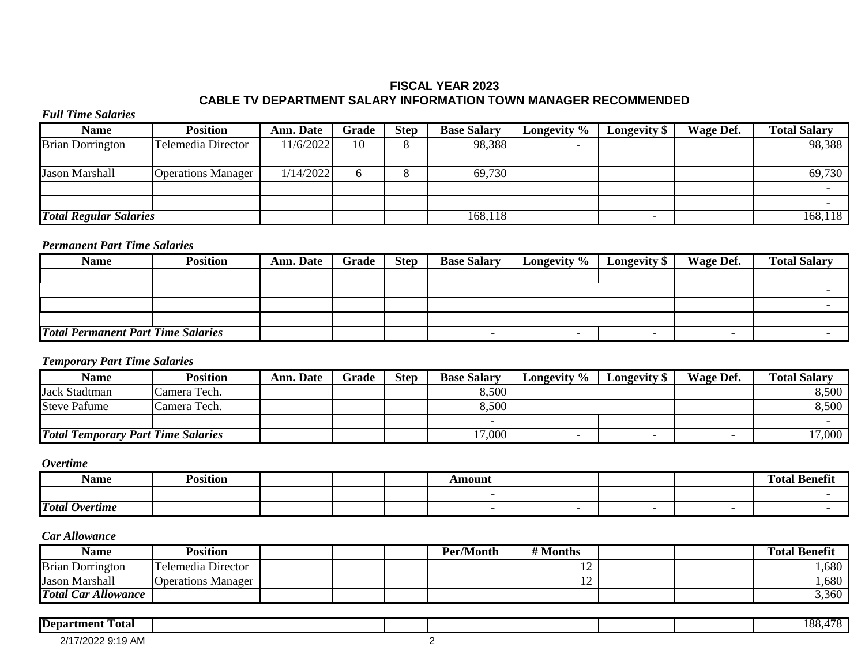# **FISCAL YEAR 2023 CABLE TV DEPARTMENT SALARY INFORMATION TOWN MANAGER RECOMMENDED**

### *Full Time Salaries*

| <b>Name</b>                   | Position                  | <b>Ann. Date</b> | Grade | <b>Step</b> | <b>Base Salary</b> | Longevity % | Longevity \$ | <b>Wage Def.</b> | <b>Total Salary</b> |
|-------------------------------|---------------------------|------------------|-------|-------------|--------------------|-------------|--------------|------------------|---------------------|
| <b>Brian Dorrington</b>       | Telemedia Director        | 11/6/2022        | 10    |             | 98,388             |             |              |                  | 98,388              |
|                               |                           |                  |       |             |                    |             |              |                  |                     |
| <b>Jason Marshall</b>         | <b>Operations Manager</b> | 1/14/2022        |       |             | 69,730             |             |              |                  | 69,730              |
|                               |                           |                  |       |             |                    |             |              |                  |                     |
|                               |                           |                  |       |             |                    |             |              |                  |                     |
| <b>Total Regular Salaries</b> |                           |                  |       |             | 168,118            |             |              |                  | 168,118             |

## *Permanent Part Time Salaries*

| <b>Name</b>                               | Position | <b>Ann. Date</b> | Grade | <b>Step</b> | <b>Base Salary</b> | Longevity % | <b>Longevity</b> \$ | Wage Def. | <b>Total Salary</b> |
|-------------------------------------------|----------|------------------|-------|-------------|--------------------|-------------|---------------------|-----------|---------------------|
|                                           |          |                  |       |             |                    |             |                     |           |                     |
|                                           |          |                  |       |             |                    |             |                     |           |                     |
|                                           |          |                  |       |             |                    |             |                     |           |                     |
|                                           |          |                  |       |             |                    |             |                     |           |                     |
| <b>Total Permanent Part Time Salaries</b> |          |                  |       |             |                    |             |                     |           |                     |

## *Temporary Part Time Salaries*

| Name                                      | Position     | <b>Ann. Date</b> | Grade | <b>Step</b> | <b>Base Salary</b> | Longevity % | <b>Longevity S</b> | Wage Def. | <b>Total Salary</b> |
|-------------------------------------------|--------------|------------------|-------|-------------|--------------------|-------------|--------------------|-----------|---------------------|
| <b>Jack Stadtman</b>                      | Camera Tech. |                  |       |             | 8,500              |             |                    |           | 8,500               |
| <b>Steve Pafume</b>                       | Camera Tech. |                  |       |             | 8,500              |             |                    |           | 8,500               |
|                                           |              |                  |       |             |                    |             |                    |           |                     |
| <b>Total Temporary Part Time Salaries</b> |              |                  |       |             | 7,000              |             |                    |           | 17,000              |

## *Overtime*

| Name                  | Position |  | Amount |  | ' Benefi.<br>Total |
|-----------------------|----------|--|--------|--|--------------------|
|                       |          |  |        |  |                    |
| <b>Total Overtime</b> |          |  |        |  |                    |

| Name                       | <b>Position</b>           |  | <b>Per/Month</b> | # Months                 |  | <b>Total Benefit</b> |
|----------------------------|---------------------------|--|------------------|--------------------------|--|----------------------|
| <b>Brian Dorrington</b>    | Telemedia Director        |  |                  | $\overline{\phantom{0}}$ |  | ,680                 |
| <b>Jason Marshall</b>      | <b>Operations Manager</b> |  |                  | $\overline{ }$           |  | ,680                 |
| <b>Total Car Allowance</b> |                           |  |                  |                          |  | 3,360                |

| <b>Department</b><br>m<br>Total  |  |  |  | $\sim$<br>၊ ဂဂ<br>$\lambda$<br>vv. |
|----------------------------------|--|--|--|------------------------------------|
| 0/4<br>17/2022 9:19 AM<br>$\sim$ |  |  |  |                                    |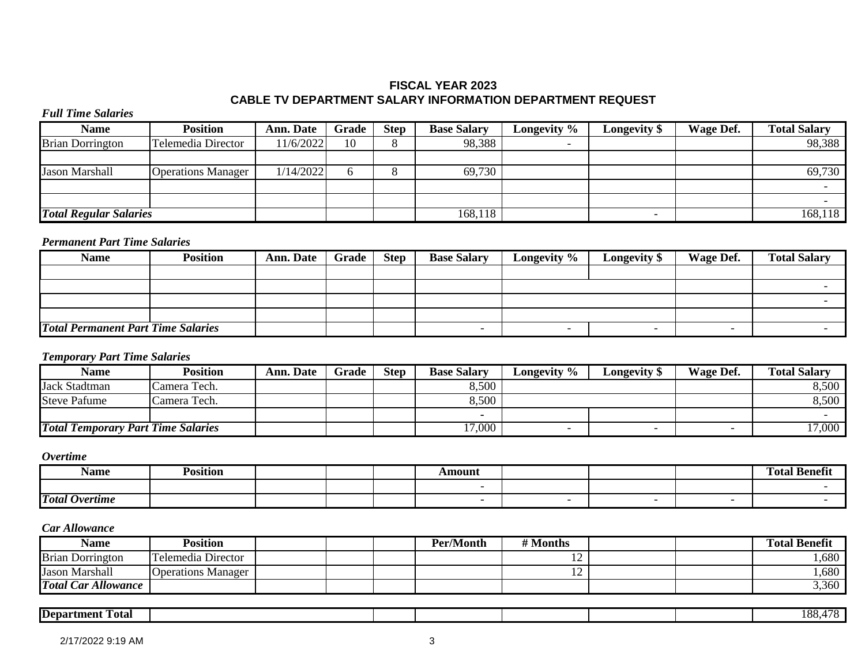# **FISCAL YEAR 2023 CABLE TV DEPARTMENT SALARY INFORMATION DEPARTMENT REQUEST**

### *Full Time Salaries*

| <b>Name</b>                   | Position                  | <b>Ann. Date</b> | Grade | <b>Step</b> | <b>Base Salary</b> | Longevity % | <b>Longevity</b> \$ | Wage Def. | <b>Total Salary</b> |
|-------------------------------|---------------------------|------------------|-------|-------------|--------------------|-------------|---------------------|-----------|---------------------|
| <b>Brian Dorrington</b>       | Telemedia Director        | 1/6/2022         | 10    |             | 98,388             |             |                     |           | 98,388              |
|                               |                           |                  |       |             |                    |             |                     |           |                     |
| <b>Jason Marshall</b>         | <b>Operations Manager</b> | 1/14/2022        |       |             | 69,730             |             |                     |           | 69,730              |
|                               |                           |                  |       |             |                    |             |                     |           |                     |
|                               |                           |                  |       |             |                    |             |                     |           |                     |
| <b>Total Regular Salaries</b> |                           |                  |       |             | 168,118            |             |                     |           | 168,118             |

# *Permanent Part Time Salaries*

| <b>Name</b>                               | <b>Position</b> | <b>Ann. Date</b> | Grade | <b>Step</b> | <b>Base Salary</b> | Longevity %              | Longevity \$             | Wage Def.                | <b>Total Salary</b> |
|-------------------------------------------|-----------------|------------------|-------|-------------|--------------------|--------------------------|--------------------------|--------------------------|---------------------|
|                                           |                 |                  |       |             |                    |                          |                          |                          |                     |
|                                           |                 |                  |       |             |                    |                          |                          |                          |                     |
|                                           |                 |                  |       |             |                    |                          |                          |                          |                     |
|                                           |                 |                  |       |             |                    |                          |                          |                          |                     |
| <b>Total Permanent Part Time Salaries</b> |                 |                  |       |             |                    | $\overline{\phantom{0}}$ | $\overline{\phantom{0}}$ | $\overline{\phantom{0}}$ |                     |

## *Temporary Part Time Salaries*

| <b>Name</b>                               | Position     | <b>Ann. Date</b> | Grade | <b>Step</b> | <b>Base Salary</b> | Longevity %              | <b>Longevity</b> \$ | Wage Def. | <b>Total Salary</b> |
|-------------------------------------------|--------------|------------------|-------|-------------|--------------------|--------------------------|---------------------|-----------|---------------------|
| <b>Jack Stadtman</b>                      | Camera Tech. |                  |       |             | 8,500              |                          |                     |           | 8,500               |
| <b>Steve Pafume</b>                       | Camera Tech. |                  |       |             | 8,500              |                          |                     |           | 8,500               |
|                                           |              |                  |       |             |                    |                          |                     |           |                     |
| <b>Total Temporary Part Time Salaries</b> |              |                  |       |             | 7,000              | $\overline{\phantom{0}}$ |                     |           | 17,000              |

## *Overtime*

| Name                  | 'osītion |  | Amount |  | ' Benefir<br>Total |
|-----------------------|----------|--|--------|--|--------------------|
|                       |          |  |        |  |                    |
| <b>Total Overtime</b> |          |  |        |  |                    |

| <b>Name</b>                | Position                  |  | Per/Month | # Months |  | <b>Total Benefit</b> |
|----------------------------|---------------------------|--|-----------|----------|--|----------------------|
| <b>Brian Dorrington</b>    | Telemedia Director        |  |           | - 12     |  | 0.680                |
| <b>Jason Marshall</b>      | <b>Operations Manager</b> |  |           | ∸        |  | .680                 |
| <b>Total Car Allowance</b> |                           |  |           |          |  | 3,360                |

| IDepartment<br>Fotal |  |  |  | $\circ$<br>70<br>^^ |
|----------------------|--|--|--|---------------------|
|                      |  |  |  |                     |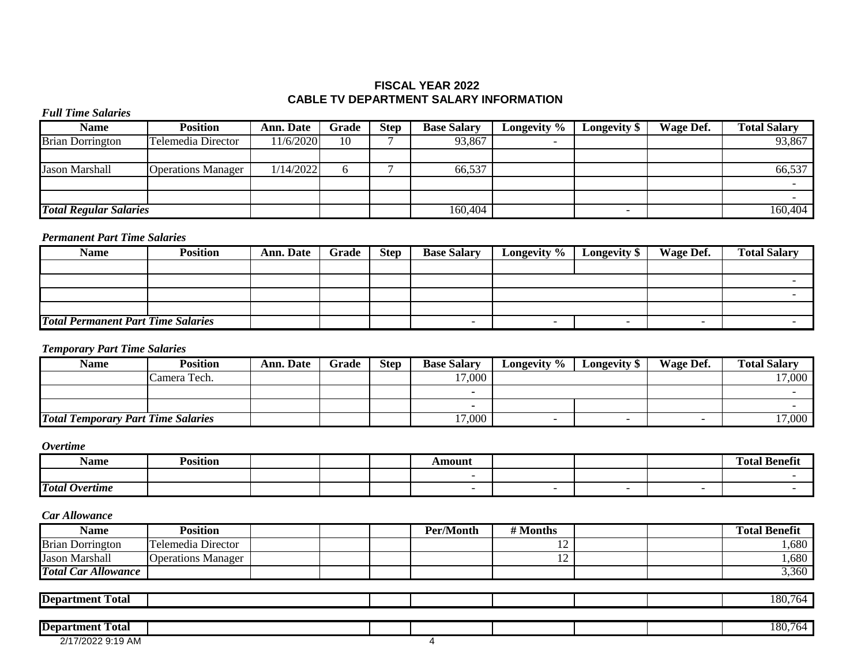## **FISCAL YEAR 2022 CABLE TV DEPARTMENT SALARY INFORMATION**

### *Full Time Salaries*

| <b>Name</b>                   | <b>Position</b>           | Ann. Date | Grade | <b>Step</b> | <b>Base Salary</b> | Longevity % | <b>Longevity</b> \$ | Wage Def. | <b>Total Salary</b> |
|-------------------------------|---------------------------|-----------|-------|-------------|--------------------|-------------|---------------------|-----------|---------------------|
| <b>Brian Dorrington</b>       | Telemedia Director        | 11/6/2020 | 10    |             | 93,867             |             |                     |           | 93,867              |
|                               |                           |           |       |             |                    |             |                     |           |                     |
| <b>Jason Marshall</b>         | <b>Operations Manager</b> | 1/14/2022 |       |             | 66,537             |             |                     |           | 66,537              |
|                               |                           |           |       |             |                    |             |                     |           |                     |
|                               |                           |           |       |             |                    |             |                     |           |                     |
| <b>Total Regular Salaries</b> |                           |           |       |             | 160,404            |             |                     |           | 160,404             |

# *Permanent Part Time Salaries*

| <b>Name</b>                               | Position | <b>Ann. Date</b> | Grade | <b>Step</b> | <b>Base Salary</b> | Longevity $\%$ | <b>Longevity</b> \$ | Wage Def. | <b>Total Salary</b> |
|-------------------------------------------|----------|------------------|-------|-------------|--------------------|----------------|---------------------|-----------|---------------------|
|                                           |          |                  |       |             |                    |                |                     |           |                     |
|                                           |          |                  |       |             |                    |                |                     |           |                     |
|                                           |          |                  |       |             |                    |                |                     |           |                     |
|                                           |          |                  |       |             |                    |                |                     |           |                     |
| <b>Total Permanent Part Time Salaries</b> |          |                  |       |             |                    |                |                     |           |                     |

# *Temporary Part Time Salaries*

| <b>Name</b>                               | Position     | <b>Ann. Date</b> | Grade | <b>Step</b> | <b>Base Salary</b> | Longevity % | <b>Longevity S</b> | Wage Def. | <b>Total Salary</b> |
|-------------------------------------------|--------------|------------------|-------|-------------|--------------------|-------------|--------------------|-----------|---------------------|
|                                           | Camera Tech. |                  |       |             | 17,000             |             |                    |           | 17,000              |
|                                           |              |                  |       |             |                    |             |                    |           |                     |
|                                           |              |                  |       |             |                    |             |                    |           |                     |
| <b>Total Temporary Part Time Salaries</b> |              |                  |       |             | 17,000             |             |                    |           | 17,000              |

### *Overtime*

| Name                                   | Position |  | mount |  | $\sim$<br>Fotal<br>- Benetu |
|----------------------------------------|----------|--|-------|--|-----------------------------|
|                                        |          |  |       |  |                             |
| <b>Total</b><br><i><b>Overtime</b></i> |          |  |       |  |                             |

| <b>Name</b>                | <b>Position</b>           |  | Per/Month | # Months                 |  | <b>Total Benefit</b> |
|----------------------------|---------------------------|--|-----------|--------------------------|--|----------------------|
| <b>Brian Dorrington</b>    | Telemedia Director        |  |           | $\overline{\phantom{0}}$ |  | 0.680                |
| <b>Jason Marshall</b>      | <b>Operations Manager</b> |  |           | $\overline{ }$           |  | 1,680                |
| <b>Total Car Allowance</b> |                           |  |           |                          |  | 3,360                |

| <b>Department</b><br>-<br>Total |  |  |  | $80^{\circ}$<br>$\cdot$ |
|---------------------------------|--|--|--|-------------------------|
|                                 |  |  |  |                         |

| <b>Department Total</b>                   |  |  |  | 180.76<br>764 |
|-------------------------------------------|--|--|--|---------------|
| 7/2022 9:19 AM<br>$\bigcap A$<br><u>_</u> |  |  |  |               |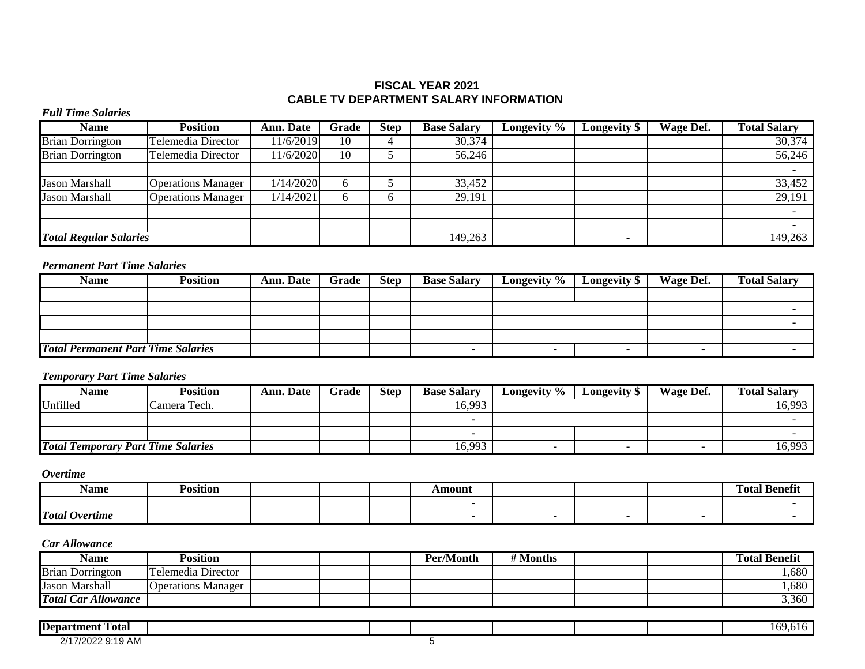## **FISCAL YEAR 2021 CABLE TV DEPARTMENT SALARY INFORMATION**

### *Full Time Salaries*

| <b>Name</b>                   | <b>Position</b>           | Ann. Date | Grade        | <b>Step</b> | <b>Base Salary</b> | Longevity $\%$ | <b>Longevity</b> \$ | Wage Def. | <b>Total Salary</b> |
|-------------------------------|---------------------------|-----------|--------------|-------------|--------------------|----------------|---------------------|-----------|---------------------|
| <b>Brian Dorrington</b>       | Telemedia Director        | 11/6/2019 | 10           |             | 30,374             |                |                     |           | 30,374              |
| <b>Brian Dorrington</b>       | Telemedia Director        | 11/6/2020 | 10           |             | 56,246             |                |                     |           | 56,246              |
|                               |                           |           |              |             |                    |                |                     |           |                     |
| <b>Jason Marshall</b>         | <b>Operations Manager</b> | 1/14/2020 | 6            |             | 33,452             |                |                     |           | 33,452              |
| <b>Jason Marshall</b>         | <b>Operations Manager</b> | 1/14/2021 | <sub>(</sub> |             | 29,191             |                |                     |           | 29,191              |
|                               |                           |           |              |             |                    |                |                     |           |                     |
|                               |                           |           |              |             |                    |                |                     |           |                     |
| <b>Total Regular Salaries</b> |                           |           |              |             | 149,263            |                |                     |           | 149,263             |

## *Permanent Part Time Salaries*

| <b>Name</b>                               | <b>Position</b> | <b>Ann. Date</b> | Grade | <b>Step</b> | <b>Base Salary</b> | Longevity % | <b>Longevity</b> \$ | Wage Def. | <b>Total Salary</b> |
|-------------------------------------------|-----------------|------------------|-------|-------------|--------------------|-------------|---------------------|-----------|---------------------|
|                                           |                 |                  |       |             |                    |             |                     |           |                     |
|                                           |                 |                  |       |             |                    |             |                     |           |                     |
|                                           |                 |                  |       |             |                    |             |                     |           |                     |
|                                           |                 |                  |       |             |                    |             |                     |           |                     |
| <b>Total Permanent Part Time Salaries</b> |                 |                  |       |             |                    |             |                     |           |                     |

## *Temporary Part Time Salaries*

| <b>Name</b>                               | Position     | <b>Ann. Date</b> | Grade | Step | <b>Base Salary</b> | Longevity % | Longevity \$ | Wage Def. | <b>Total Salary</b> |
|-------------------------------------------|--------------|------------------|-------|------|--------------------|-------------|--------------|-----------|---------------------|
| Unfilled                                  | Camera Tech. |                  |       |      | 16,993             |             |              |           | 16,993              |
|                                           |              |                  |       |      | . .                |             |              |           |                     |
|                                           |              |                  |       |      |                    |             |              |           |                     |
| <b>Total Temporary Part Time Salaries</b> |              |                  |       |      | 16,993             |             |              |           | 16,993              |

*Overtime*

| Name                                   | $\cdots$<br>Position |  | Amount |  | $\sim$<br>m<br>Total<br>' benen. |
|----------------------------------------|----------------------|--|--------|--|----------------------------------|
|                                        |                      |  |        |  |                                  |
| <b>Total</b><br><i><b>Overtime</b></i> |                      |  |        |  |                                  |

| <b>Name</b>                | Position                    |  | Per/Month | # Months |  | <b>Total Benefit</b> |
|----------------------------|-----------------------------|--|-----------|----------|--|----------------------|
| <b>Brian Dorrington</b>    | Telemedia Director          |  |           |          |  | ,680                 |
| Jason Marshall             | <b>O</b> Operations Manager |  |           |          |  | ,680                 |
| <b>Total Car Allowance</b> |                             |  |           |          |  | 3,360                |

| .<br>. .<br><i><u><b>Department</b></u></i><br>Total |  |  |  | 169,616 |
|------------------------------------------------------|--|--|--|---------|
| 17/2022 9:19 AM<br>0/47                              |  |  |  |         |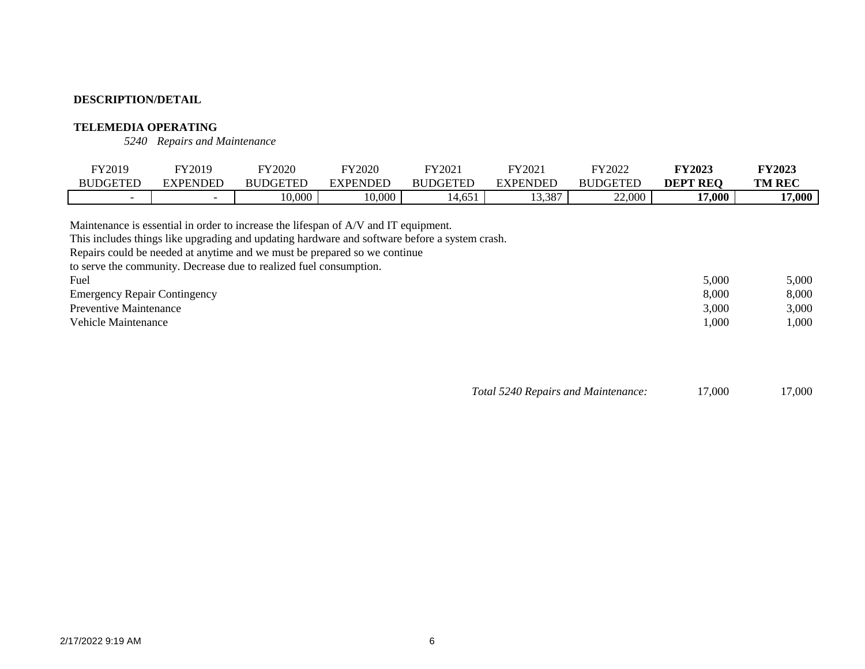## **TELEMEDIA OPERATING**

*5240 Repairs and Maintenance*

| FY2019                   | FY2019                   | FY2020          | FY2020   | FY2021                                   | FY202           | FY2022          | <b>FY2023</b>   | <b>TY2023</b> |
|--------------------------|--------------------------|-----------------|----------|------------------------------------------|-----------------|-----------------|-----------------|---------------|
| DGETED                   | EXPENDED                 | <b>BUDGETED</b> | EVDENDED | <b>BUDGETED</b>                          | <b>EXPENDED</b> | <b>BUDGETED</b> | <b>DEPT REQ</b> | <b>TM REC</b> |
| $\overline{\phantom{0}}$ | $\overline{\phantom{0}}$ | 10,000          | 0.000    | $\sim$ $-1$<br>I 4<br>14,65 <sub>1</sub> | 3,387           | 22,000          | 17,000          | 17,000        |

Maintenance is essential in order to increase the lifespan of A/V and IT equipment.

This includes things like upgrading and updating hardware and software before a system crash.

Repairs could be needed at anytime and we must be prepared so we continue

to serve the community. Decrease due to realized fuel consumption.

| Fuel                                | 5,000<br>5,000    |
|-------------------------------------|-------------------|
| <b>Emergency Repair Contingency</b> | 8,000<br>8,000    |
| Preventive Maintenance              | 3,000<br>3,000    |
| <b>Vehicle Maintenance</b>          | ,000<br>$1.000\,$ |

*Total 5240 Repairs and Maintenance:* 17,000 17,000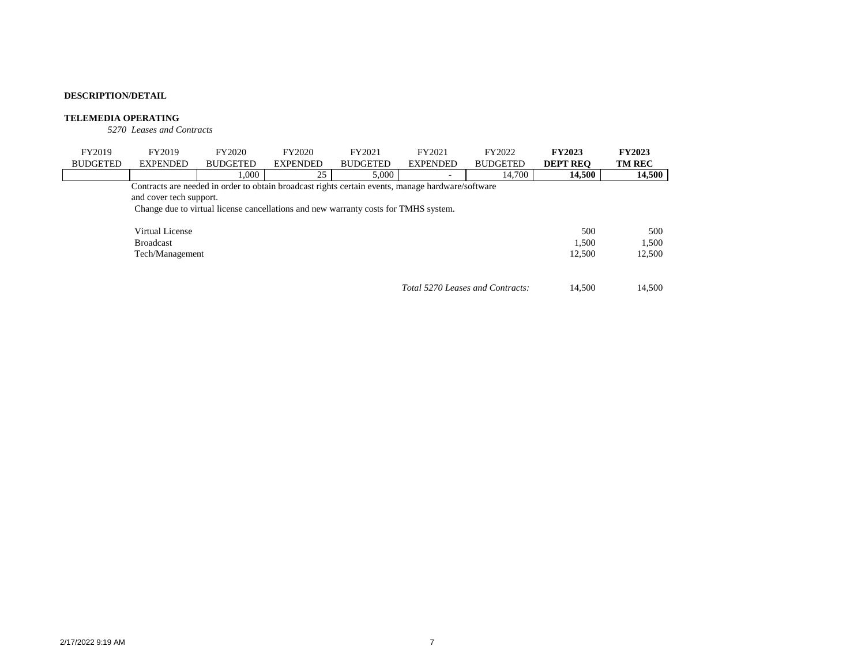#### **TELEMEDIA OPERATING**

*5270 Leases and Contracts*

| FY2019          | FY2019                  | FY2020                                                                                            | FY2020          | FY2021          | FY2021          | FY2022                           | <b>FY2023</b>   | <b>FY2023</b> |
|-----------------|-------------------------|---------------------------------------------------------------------------------------------------|-----------------|-----------------|-----------------|----------------------------------|-----------------|---------------|
| <b>BUDGETED</b> | <b>EXPENDED</b>         | <b>BUDGETED</b>                                                                                   | <b>EXPENDED</b> | <b>BUDGETED</b> | <b>EXPENDED</b> | <b>BUDGETED</b>                  | <b>DEPT REO</b> | <b>TM REC</b> |
|                 |                         | 1.000                                                                                             | 25              | 5,000           |                 | 14,700                           | 14,500          | 14,500        |
|                 |                         | Contracts are needed in order to obtain broadcast rights certain events, manage hardware/software |                 |                 |                 |                                  |                 |               |
|                 | and cover tech support. |                                                                                                   |                 |                 |                 |                                  |                 |               |
|                 |                         | Change due to virtual license cancellations and new warranty costs for TMHS system.               |                 |                 |                 |                                  |                 |               |
|                 |                         |                                                                                                   |                 |                 |                 |                                  |                 |               |
|                 | Virtual License         |                                                                                                   |                 |                 |                 |                                  | 500             | 500           |
|                 | <b>Broadcast</b>        |                                                                                                   |                 |                 |                 |                                  | 1.500           | 1.500         |
|                 | Tech/Management         |                                                                                                   |                 |                 |                 |                                  | 12,500          | 12,500        |
|                 |                         |                                                                                                   |                 |                 |                 |                                  |                 |               |
|                 |                         |                                                                                                   |                 |                 |                 |                                  |                 |               |
|                 |                         |                                                                                                   |                 |                 |                 | Total 5270 Leases and Contracts: | 14.500          | 14.500        |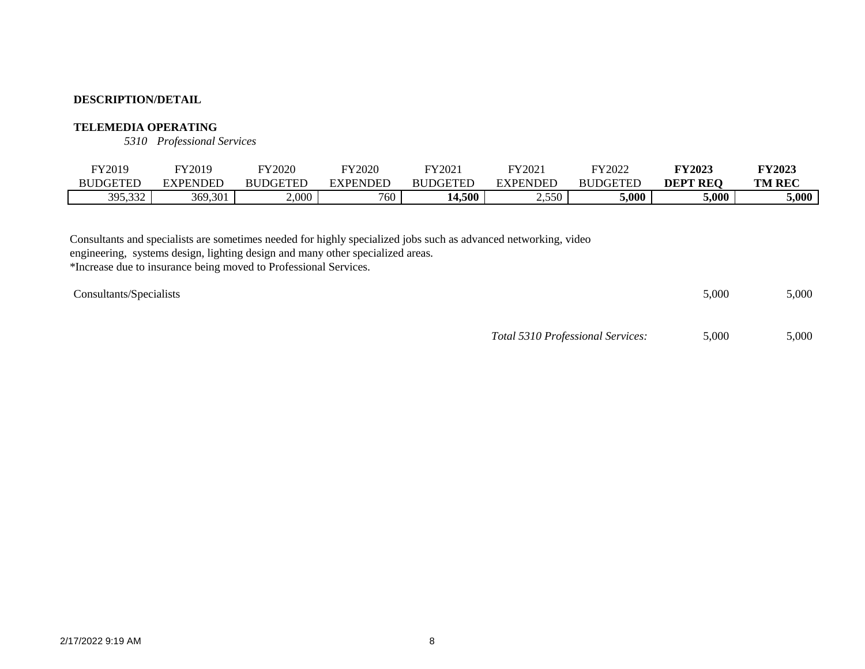## **TELEMEDIA OPERATING**

*5310 Professional Services*

| FY2019          | FY2019   | TY2020   | FY2020          | FY2021          | FY202           | FY2022          | FY2023        | <b>TY2023</b> |
|-----------------|----------|----------|-----------------|-----------------|-----------------|-----------------|---------------|---------------|
| <b>BUDGETED</b> | EXPENDED | BUDGETEL | <b>EXPENDED</b> | <b>BUDGETEL</b> | <b>EXPENDED</b> | <b>BUDGETED</b> | ' REO<br>DEPT | <b>TM REC</b> |
| 395,332         | 369,301  | 2,000    | 760             | 14,500          | 2,550           | 5,000           | 5,000         | 5,000         |

Consultants and specialists are sometimes needed for highly specialized jobs such as advanced networking, video

engineering, systems design, lighting design and many other specialized areas.

\*Increase due to insurance being moved to Professional Services.

| <b>Consultants/Specialists</b> | 5,000 | 5,000 |
|--------------------------------|-------|-------|
|                                |       |       |

*Total 5310 Professional Services:* 5,000 5,000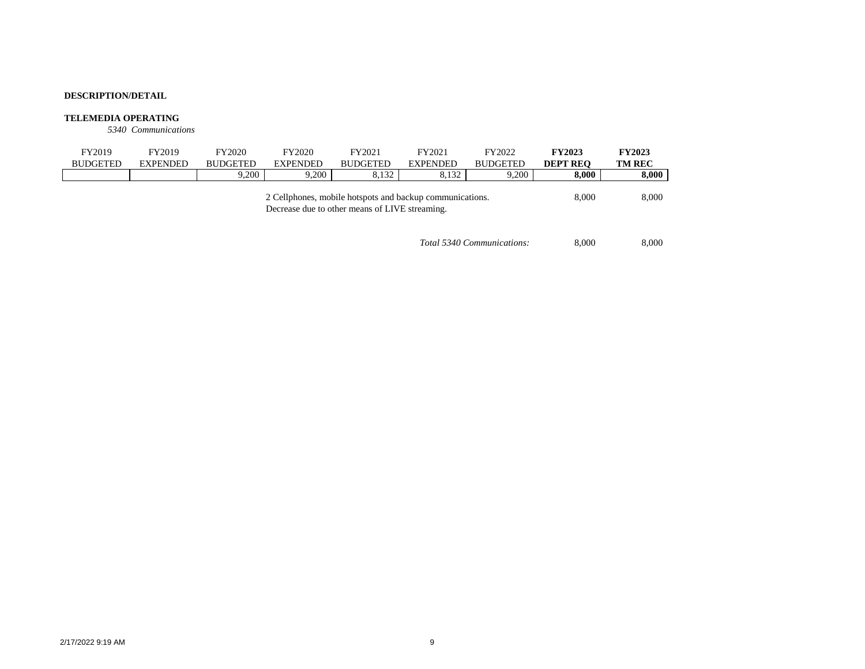#### **TELEMEDIA OPERATING**

*5340 Communications*

| FY2019                                                                                                     | FY2019          | FY2020          | FY2020          | FY2021          | FY2021          | FY2022          | <b>FY2023</b>   | <b>FY2023</b> |
|------------------------------------------------------------------------------------------------------------|-----------------|-----------------|-----------------|-----------------|-----------------|-----------------|-----------------|---------------|
| <b>BUDGETED</b>                                                                                            | <b>EXPENDED</b> | <b>BUDGETED</b> | <b>EXPENDED</b> | <b>BUDGETED</b> | <b>EXPENDED</b> | <b>BUDGETED</b> | <b>DEPT REO</b> | <b>TM REC</b> |
|                                                                                                            |                 | 9.200           | 9.200           | 8.132           | 8.132           | 9.200           | 8.000           | 8,000         |
| 2 Cellphones, mobile hotspots and backup communications.<br>Decrease due to other means of LIVE streaming. |                 |                 |                 |                 |                 |                 | 8.000           | 8,000         |

*Total 5340 Communications:* 8,000 8,000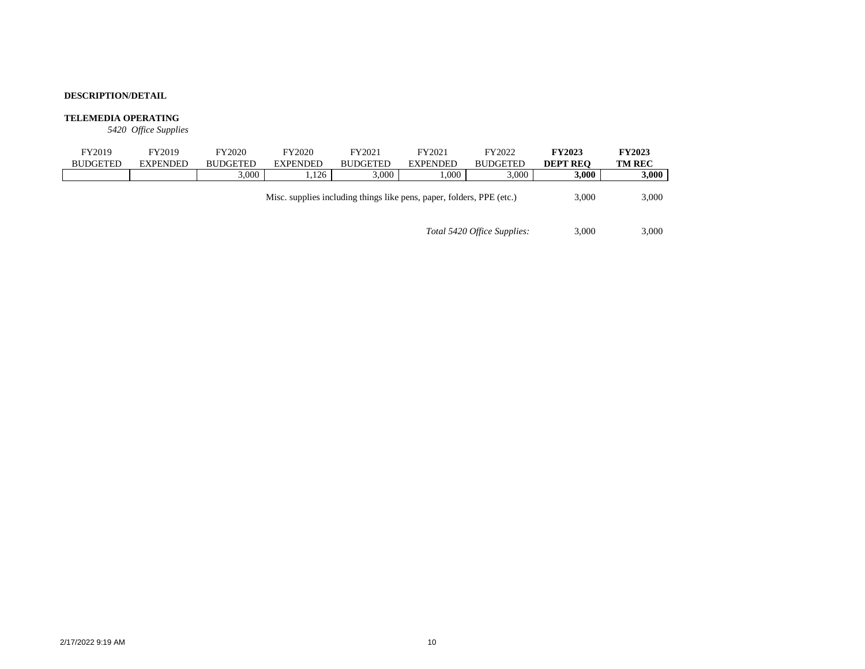### **TELEMEDIA OPERATING**

*5420 Office Supplies*

| FY2019          | FY2019          | FY2020          | FY2020          | FY2021                                                                | FY2021          | FY2022          | <b>FY2023</b>   | <b>FY2023</b> |
|-----------------|-----------------|-----------------|-----------------|-----------------------------------------------------------------------|-----------------|-----------------|-----------------|---------------|
| <b>BUDGETED</b> | <b>EXPENDED</b> | <b>BUDGETED</b> | <b>EXPENDED</b> | <b>BUDGETED</b>                                                       | <b>EXPENDED</b> | <b>BUDGETED</b> | <b>DEPT REO</b> | <b>TM REC</b> |
|                 |                 | 3.000           | .126            | 3.000                                                                 | .000            | 3.000           | 3.000           | 3,000         |
|                 |                 |                 |                 | Misc. supplies including things like pens, paper, folders, PPE (etc.) |                 |                 | 3.000           | 3,000         |

*Total 5420 Office Supplies:* 3,000 3,000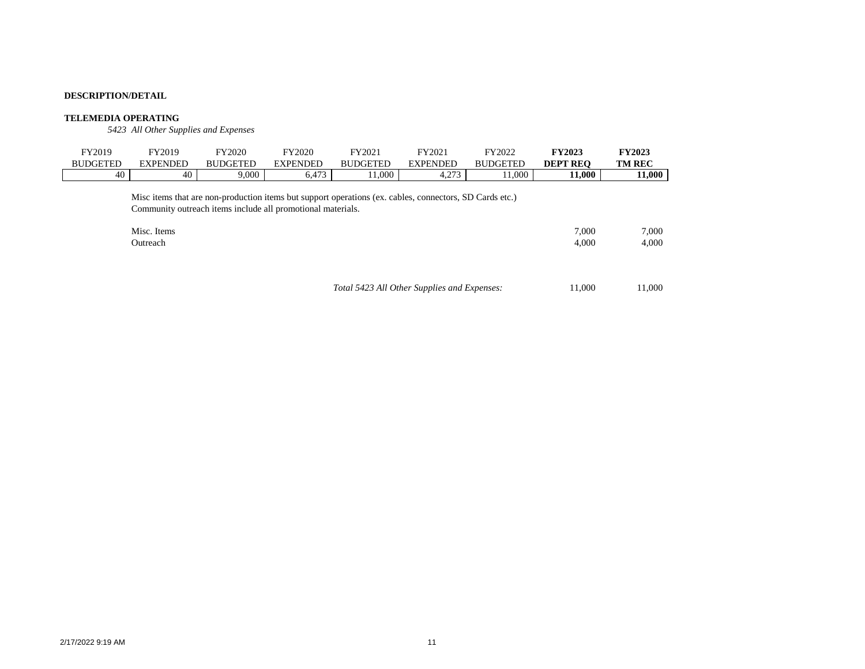### **TELEMEDIA OPERATING**

*5423 All Other Supplies and Expenses*

| FY2019          | FY2019                                                                                                                                                                                            | FY2020          | FY2020          | FY2021                                      | FY2021          | FY2022          | <b>FY2023</b>   | <b>FY2023</b>  |
|-----------------|---------------------------------------------------------------------------------------------------------------------------------------------------------------------------------------------------|-----------------|-----------------|---------------------------------------------|-----------------|-----------------|-----------------|----------------|
| <b>BUDGETED</b> | <b>EXPENDED</b>                                                                                                                                                                                   | <b>BUDGETED</b> | <b>EXPENDED</b> | <b>BUDGETED</b>                             | <b>EXPENDED</b> | <b>BUDGETED</b> | <b>DEPT REO</b> | <b>TM REC</b>  |
| 40              | 40                                                                                                                                                                                                | 9,000           | 6,473           | 11,000                                      | 4,273           | 11,000          | 11,000          | 11,000         |
|                 | Misc items that are non-production items but support operations (ex. cables, connectors, SD Cards etc.)<br>Community outreach items include all promotional materials.<br>Misc. Items<br>Outreach |                 |                 |                                             |                 |                 | 7.000<br>4,000  | 7.000<br>4,000 |
|                 |                                                                                                                                                                                                   |                 |                 | Total 5423 All Other Supplies and Expenses: |                 |                 | 11.000          | 11,000         |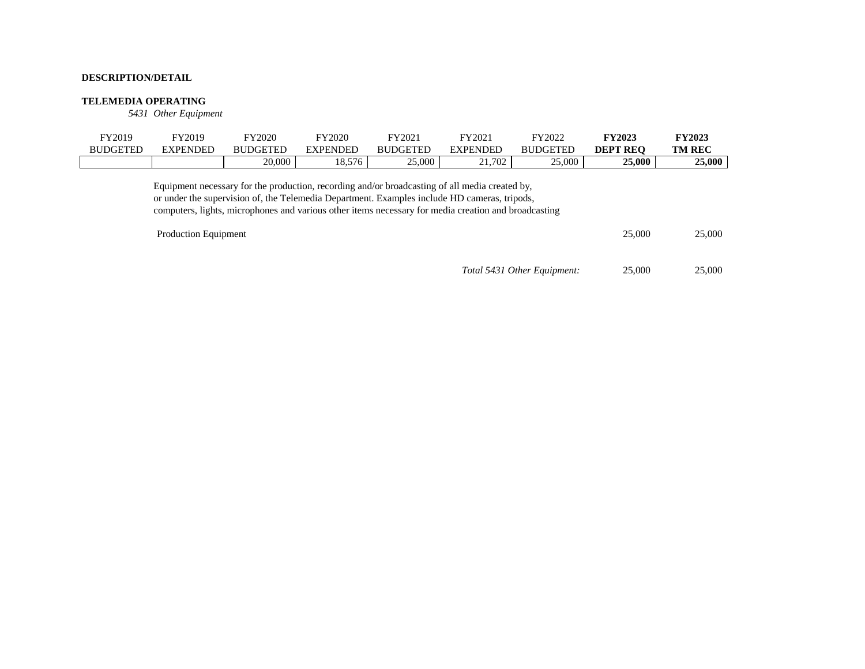### **TELEMEDIA OPERATING**

*5431 Other Equipment*

| FY2019          | FY2019          | FY2020          | FY2020          | FY2021          | FY2021          | FY2022   | FY2023          | <b>FY2023</b> |
|-----------------|-----------------|-----------------|-----------------|-----------------|-----------------|----------|-----------------|---------------|
| <b>BUDGETEL</b> | <b>EXPENDED</b> | <b>BUDGETED</b> | <b>EXPENDED</b> | <b>BUDGETED</b> | <b>EXPENDED</b> | BUDGETED | <b>DEPT REO</b> | <b>TM REC</b> |
|                 |                 | 20,000          | 0576<br>، ن.ه.  | 25,000          | 702             | 25,000   | 25,000          | 25,000        |

Equipment necessary for the production, recording and/or broadcasting of all media created by, or under the supervision of, the Telemedia Department. Examples include HD cameras, tripods, computers, lights, microphones and various other items necessary for media creation and broadcasting

| Production Equipment |                             | 25,000 | 25,000 |
|----------------------|-----------------------------|--------|--------|
|                      | Total 5431 Other Equipment: | 25,000 | 25,000 |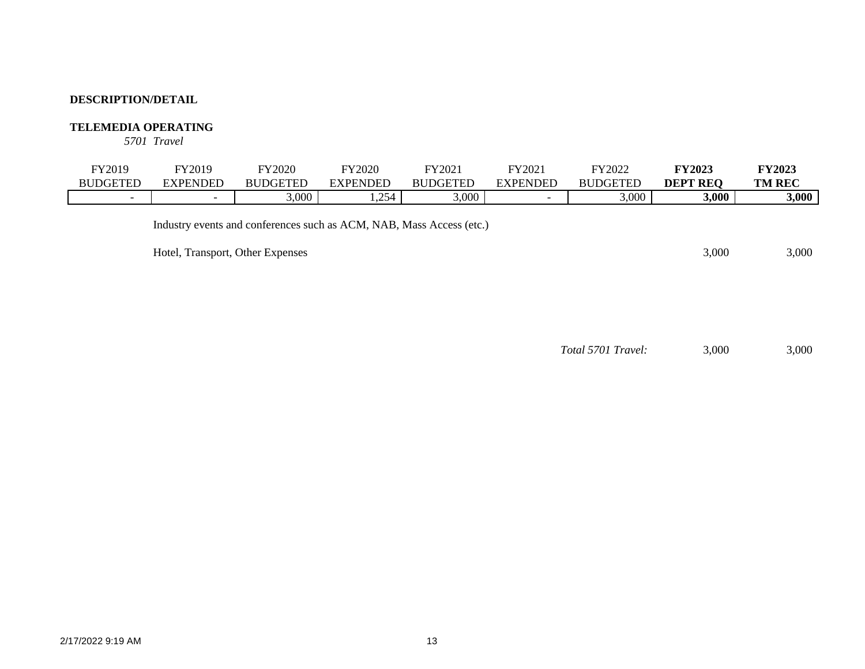# **TELEMEDIA OPERATING**

*5701 Travel*

| <b>FY2019</b>            | <b>FY2019</b>                    | <b>FY2020</b>                                                        | <b>FY2020</b>   | FY2021          | FY2021                   | FY2022          | <b>FY2023</b>   | <b>FY2023</b> |
|--------------------------|----------------------------------|----------------------------------------------------------------------|-----------------|-----------------|--------------------------|-----------------|-----------------|---------------|
| <b>BUDGETED</b>          | <b>EXPENDED</b>                  | <b>BUDGETED</b>                                                      | <b>EXPENDED</b> | <b>BUDGETED</b> | <b>EXPENDED</b>          | <b>BUDGETED</b> | <b>DEPT REQ</b> | <b>TM REC</b> |
| $\overline{\phantom{0}}$ | $\overline{\phantom{0}}$         | 3,000                                                                | .254            | 3,000           | $\overline{\phantom{0}}$ | 3,000           | 3,000           | 3,000         |
|                          | Hotel, Transport, Other Expenses | Industry events and conferences such as ACM, NAB, Mass Access (etc.) |                 |                 |                          |                 | 3.000           | 3,000         |

*Total 5701 Travel:* 3,000 3,000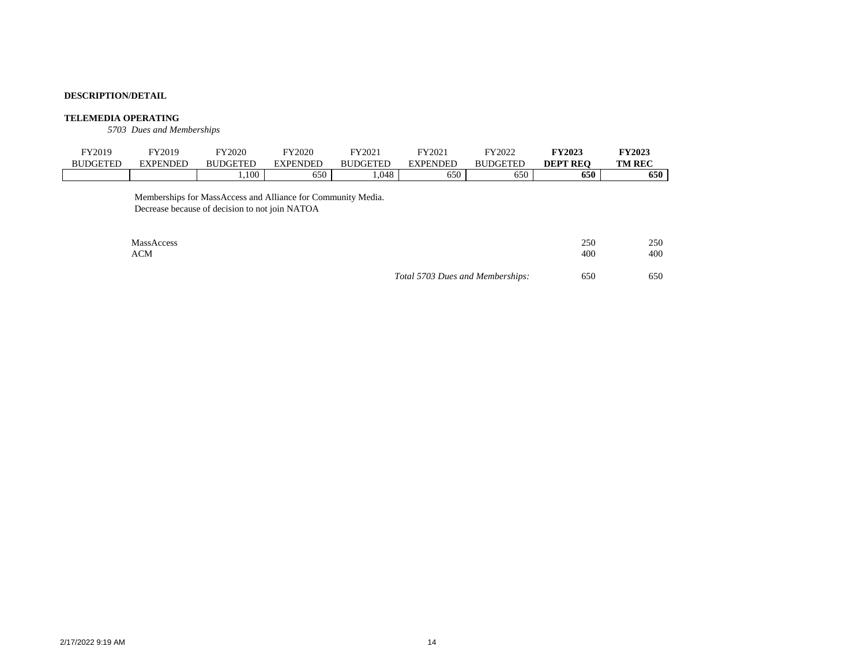#### **TELEMEDIA OPERATING**

*5703 Dues and Memberships*

| <b>FY2019</b>   | FY2019          | FY2020          | FY2020 | FY2021          | FY202    | FY2022                      | <b>FY2023</b>   | <b>FY2023</b> |
|-----------------|-----------------|-----------------|--------|-----------------|----------|-----------------------------|-----------------|---------------|
| <b>BUDGETED</b> | <b>EXPENDED</b> | <b>BUDGETED</b> | DF     | <b>BUDGETED</b> | EXPENDED | <b>BUDGETED</b><br>ľЫ.      | <b>DEPT REO</b> | <b>TM REC</b> |
|                 |                 | ,100            | 650    | .048            | 650      | $\sim$ $\sim$ $\sim$<br>ხას | 650             | 650           |

Memberships for MassAccess and Alliance for Community Media. Decrease because of decision to not join NATOA

| MassAccess |                                  | 250 | 250 |
|------------|----------------------------------|-----|-----|
| ACM        |                                  | 400 | 400 |
|            | Total 5703 Dues and Memberships: | 650 | 650 |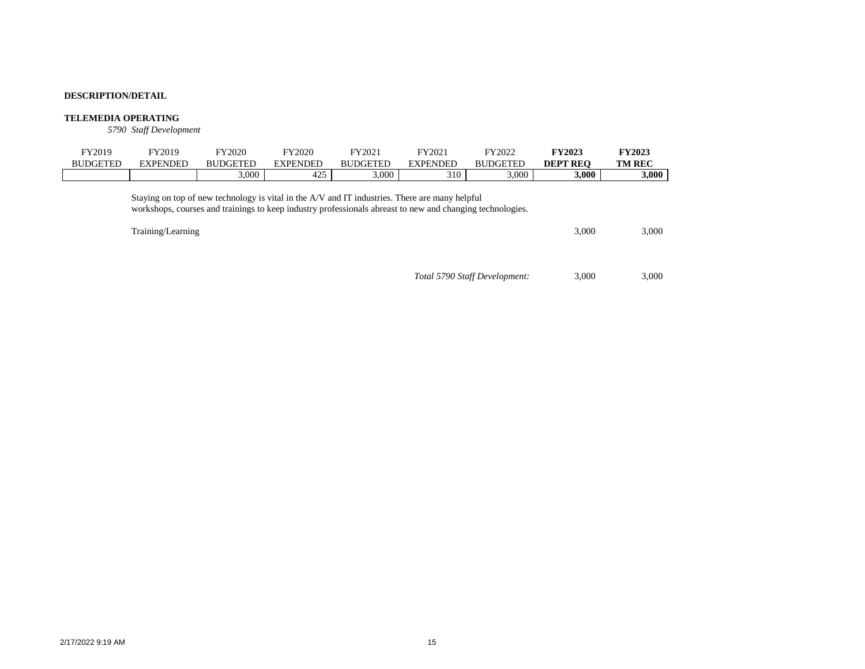### **TELEMEDIA OPERATING**

*5790 Staff Development*

| FY2019<br><b>BUDGETED</b> | FY2019<br><b>EXPENDED</b> | FY2020<br><b>BUDGETED</b>                                                                                                                                                                                   | FY2020<br><b>EXPENDED</b> | FY2021<br><b>BUDGETED</b> | FY2021<br><b>EXPENDED</b> | FY2022<br><b>BUDGETED</b>     | <b>FY2023</b><br><b>DEPT REO</b> | <b>FY2023</b><br><b>TM REC</b> |
|---------------------------|---------------------------|-------------------------------------------------------------------------------------------------------------------------------------------------------------------------------------------------------------|---------------------------|---------------------------|---------------------------|-------------------------------|----------------------------------|--------------------------------|
|                           |                           | 3,000                                                                                                                                                                                                       | 425                       | 3,000                     | 310                       | 3,000                         | 3,000                            | 3,000                          |
|                           | Training/Learning         | Staying on top of new technology is vital in the A/V and IT industries. There are many helpful<br>workshops, courses and trainings to keep industry professionals abreast to new and changing technologies. |                           |                           |                           |                               | 3.000                            | 3,000                          |
|                           |                           |                                                                                                                                                                                                             |                           |                           |                           | Total 5790 Staff Development: | 3.000                            | 3.000                          |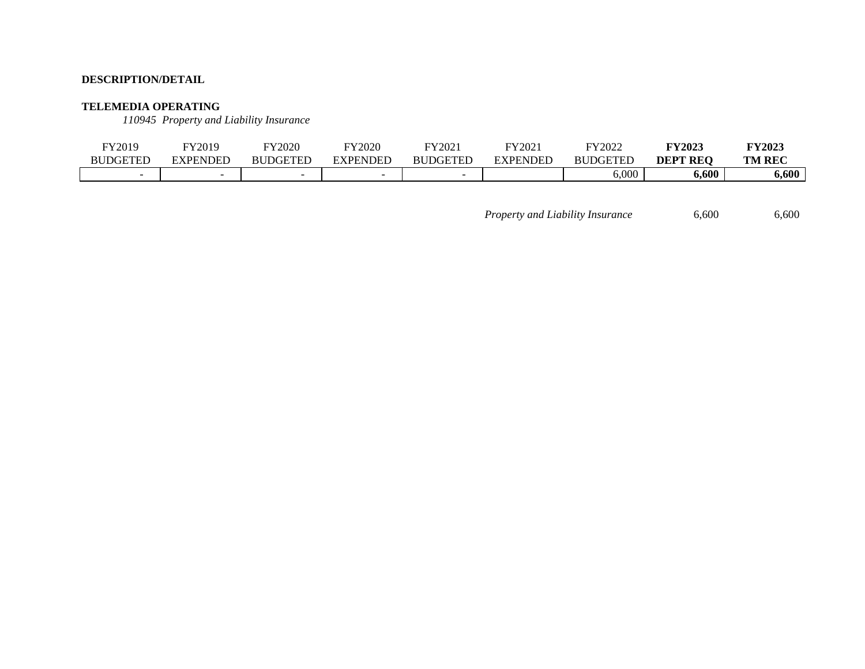### **TELEMEDIA OPERATING**

*110945 Property and Liability Insurance*

| FY2019          | FY2019          | FY2020          | FY2020   | FY2021   | FY2021   | FY2022          | <b>FY2023</b>   | <b>FY2023</b> |
|-----------------|-----------------|-----------------|----------|----------|----------|-----------------|-----------------|---------------|
| <b>BUDGETED</b> | <b>EXPENDED</b> | <b>BUDGETED</b> | EXPENDED | BUDGETED | EXPENDED | <b>BUDGETED</b> | <b>DEPT REQ</b> | <b>TM REC</b> |
|                 | -               |                 |          |          |          | 6,000           | 6,600           | 6,600         |

*Property and Liability Insurance* 6,600 6,600